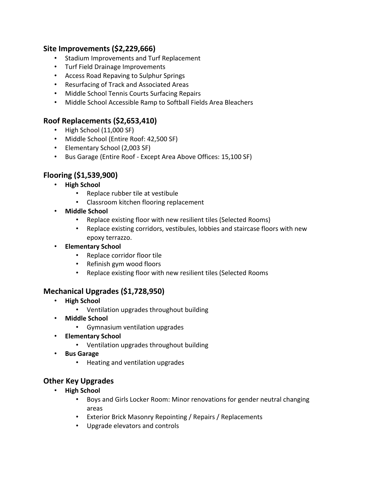### **Site Improvements (\$2,229,666)**

- Stadium Improvements and Turf Replacement
- Turf Field Drainage Improvements
- Access Road Repaving to Sulphur Springs
- Resurfacing of Track and Associated Areas
- Middle School Tennis Courts Surfacing Repairs
- Middle School Accessible Ramp to Softball Fields Area Bleachers

# **Roof Replacements (\$2,653,410)**

- High School (11,000 SF)
- Middle School (Entire Roof: 42,500 SF)
- Elementary School (2,003 SF)
- Bus Garage (Entire Roof Except Area Above Offices: 15,100 SF)

# **Flooring (\$1,539,900)**

- **High School**
	- Replace rubber tile at vestibule
	- Classroom kitchen flooring replacement
- **Middle School**
	- Replace existing floor with new resilient tiles (Selected Rooms)
	- Replace existing corridors, vestibules, lobbies and staircase floors with new epoxy terrazzo.
- **Elementary School**
	- Replace corridor floor tile
	- Refinish gym wood floors
	- Replace existing floor with new resilient tiles (Selected Rooms

# **Mechanical Upgrades (\$1,728,950)**

- **High School**
	- Ventilation upgrades throughout building
- **Middle School**
	- Gymnasium ventilation upgrades
- **Elementary School**
	- Ventilation upgrades throughout building
- **Bus Garage**
	- Heating and ventilation upgrades

# **Other Key Upgrades**

- **High School**
	- Boys and Girls Locker Room: Minor renovations for gender neutral changing areas
	- Exterior Brick Masonry Repointing / Repairs / Replacements
	- Upgrade elevators and controls